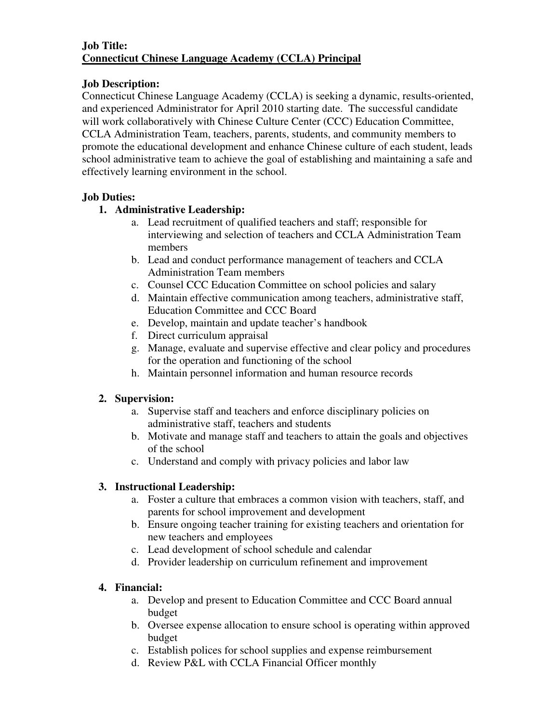#### **Job Title: Connecticut Chinese Language Academy (CCLA) Principal**

#### **Job Description:**

Connecticut Chinese Language Academy (CCLA) is seeking a dynamic, results-oriented, and experienced Administrator for April 2010 starting date. The successful candidate will work collaboratively with Chinese Culture Center (CCC) Education Committee, CCLA Administration Team, teachers, parents, students, and community members to promote the educational development and enhance Chinese culture of each student, leads school administrative team to achieve the goal of establishing and maintaining a safe and effectively learning environment in the school.

## **Job Duties:**

## **1. Administrative Leadership:**

- a. Lead recruitment of qualified teachers and staff; responsible for interviewing and selection of teachers and CCLA Administration Team members
- b. Lead and conduct performance management of teachers and CCLA Administration Team members
- c. Counsel CCC Education Committee on school policies and salary
- d. Maintain effective communication among teachers, administrative staff, Education Committee and CCC Board
- e. Develop, maintain and update teacher's handbook
- f. Direct curriculum appraisal
- g. Manage, evaluate and supervise effective and clear policy and procedures for the operation and functioning of the school
- h. Maintain personnel information and human resource records

# **2. Supervision:**

- a. Supervise staff and teachers and enforce disciplinary policies on administrative staff, teachers and students
- b. Motivate and manage staff and teachers to attain the goals and objectives of the school
- c. Understand and comply with privacy policies and labor law

# **3. Instructional Leadership:**

- a. Foster a culture that embraces a common vision with teachers, staff, and parents for school improvement and development
- b. Ensure ongoing teacher training for existing teachers and orientation for new teachers and employees
- c. Lead development of school schedule and calendar
- d. Provider leadership on curriculum refinement and improvement

# **4. Financial:**

- a. Develop and present to Education Committee and CCC Board annual budget
- b. Oversee expense allocation to ensure school is operating within approved budget
- c. Establish polices for school supplies and expense reimbursement
- d. Review P&L with CCLA Financial Officer monthly